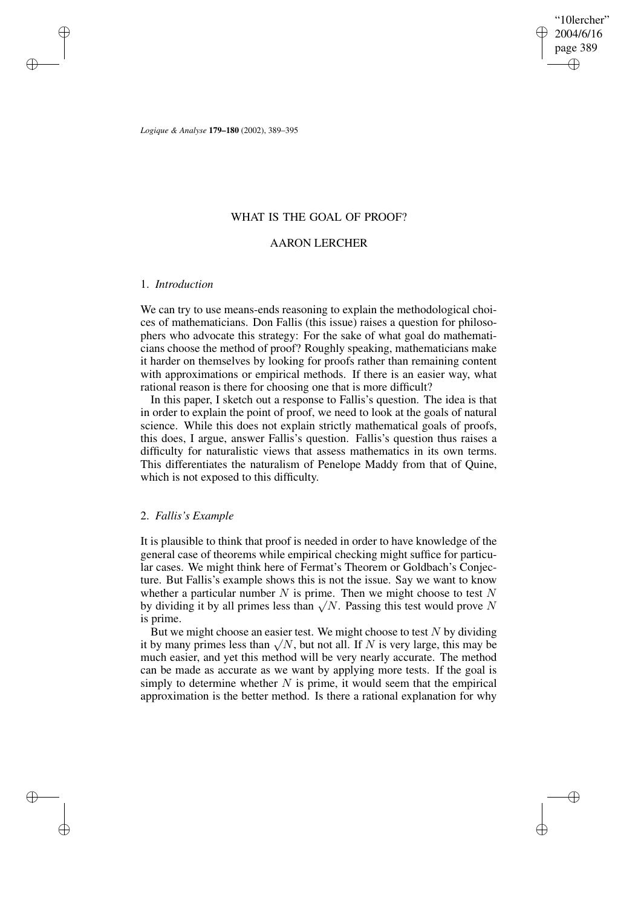✐

✐

*Logique & Analyse* **179–180** (2002), 389–395

### WHAT IS THE GOAL OF PROOF?

## AARON LERCHER

### 1. *Introduction*

✐

✐

✐

✐

We can try to use means-ends reasoning to explain the methodological choices of mathematicians. Don Fallis (this issue) raises a question for philosophers who advocate this strategy: For the sake of what goal do mathematicians choose the method of proof? Roughly speaking, mathematicians make it harder on themselves by looking for proofs rather than remaining content with approximations or empirical methods. If there is an easier way, what rational reason is there for choosing one that is more difficult?

In this paper, I sketch out a response to Fallis's question. The idea is that in order to explain the point of proof, we need to look at the goals of natural science. While this does not explain strictly mathematical goals of proofs, this does, I argue, answer Fallis's question. Fallis's question thus raises a difficulty for naturalistic views that assess mathematics in its own terms. This differentiates the naturalism of Penelope Maddy from that of Quine, which is not exposed to this difficulty.

### 2. *Fallis's Example*

It is plausible to think that proof is needed in order to have knowledge of the general case of theorems while empirical checking might suffice for particular cases. We might think here of Fermat's Theorem or Goldbach's Conjecture. But Fallis's example shows this is not the issue. Say we want to know whether a particular number  $N$  is prime. Then we might choose to test  $N$ by dividing it by all primes less than  $\sqrt{N}$ . Passing this test would prove N is prime.

But we might choose an easier test. We might choose to test  $N$  by dividing it by many primes less than  $\sqrt{N}$ , but not all. If N is very large, this may be much easier, and yet this method will be very nearly accurate. The method can be made as accurate as we want by applying more tests. If the goal is simply to determine whether  $N$  is prime, it would seem that the empirical approximation is the better method. Is there a rational explanation for why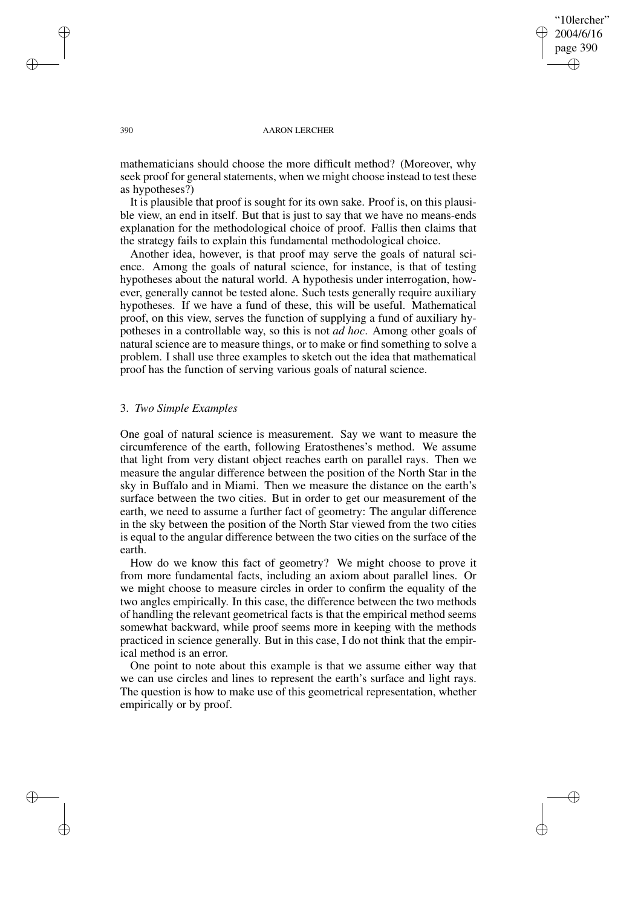"10lercher" 2004/6/16 page 390 ✐ ✐

✐

✐

#### 390 AARON LERCHER

mathematicians should choose the more difficult method? (Moreover, why seek proof for general statements, when we might choose instead to test these as hypotheses?)

It is plausible that proof is sought for its own sake. Proof is, on this plausible view, an end in itself. But that is just to say that we have no means-ends explanation for the methodological choice of proof. Fallis then claims that the strategy fails to explain this fundamental methodological choice.

Another idea, however, is that proof may serve the goals of natural science. Among the goals of natural science, for instance, is that of testing hypotheses about the natural world. A hypothesis under interrogation, however, generally cannot be tested alone. Such tests generally require auxiliary hypotheses. If we have a fund of these, this will be useful. Mathematical proof, on this view, serves the function of supplying a fund of auxiliary hypotheses in a controllable way, so this is not *ad hoc*. Among other goals of natural science are to measure things, or to make or find something to solve a problem. I shall use three examples to sketch out the idea that mathematical proof has the function of serving various goals of natural science.

# 3. *Two Simple Examples*

One goal of natural science is measurement. Say we want to measure the circumference of the earth, following Eratosthenes's method. We assume that light from very distant object reaches earth on parallel rays. Then we measure the angular difference between the position of the North Star in the sky in Buffalo and in Miami. Then we measure the distance on the earth's surface between the two cities. But in order to get our measurement of the earth, we need to assume a further fact of geometry: The angular difference in the sky between the position of the North Star viewed from the two cities is equal to the angular difference between the two cities on the surface of the earth.

How do we know this fact of geometry? We might choose to prove it from more fundamental facts, including an axiom about parallel lines. Or we might choose to measure circles in order to confirm the equality of the two angles empirically. In this case, the difference between the two methods of handling the relevant geometrical facts is that the empirical method seems somewhat backward, while proof seems more in keeping with the methods practiced in science generally. But in this case, I do not think that the empirical method is an error.

One point to note about this example is that we assume either way that we can use circles and lines to represent the earth's surface and light rays. The question is how to make use of this geometrical representation, whether empirically or by proof.

✐

✐

✐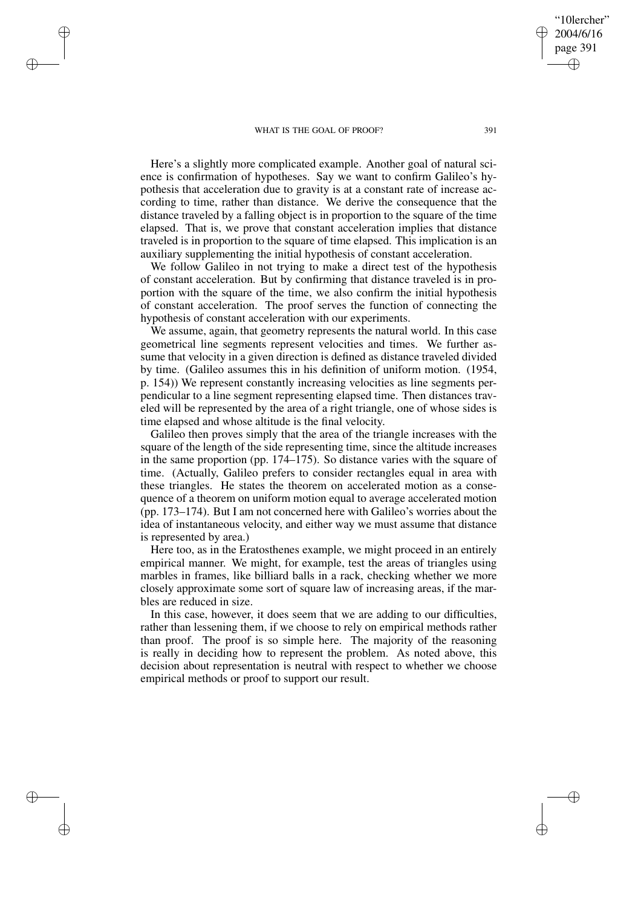#### WHAT IS THE GOAL OF PROOF? 391

✐

✐

✐

✐

Here's a slightly more complicated example. Another goal of natural science is confirmation of hypotheses. Say we want to confirm Galileo's hypothesis that acceleration due to gravity is at a constant rate of increase according to time, rather than distance. We derive the consequence that the distance traveled by a falling object is in proportion to the square of the time elapsed. That is, we prove that constant acceleration implies that distance traveled is in proportion to the square of time elapsed. This implication is an auxiliary supplementing the initial hypothesis of constant acceleration.

We follow Galileo in not trying to make a direct test of the hypothesis of constant acceleration. But by confirming that distance traveled is in proportion with the square of the time, we also confirm the initial hypothesis of constant acceleration. The proof serves the function of connecting the hypothesis of constant acceleration with our experiments.

We assume, again, that geometry represents the natural world. In this case geometrical line segments represent velocities and times. We further assume that velocity in a given direction is defined as distance traveled divided by time. (Galileo assumes this in his definition of uniform motion. (1954, p. 154)) We represent constantly increasing velocities as line segments perpendicular to a line segment representing elapsed time. Then distances traveled will be represented by the area of a right triangle, one of whose sides is time elapsed and whose altitude is the final velocity.

Galileo then proves simply that the area of the triangle increases with the square of the length of the side representing time, since the altitude increases in the same proportion (pp. 174–175). So distance varies with the square of time. (Actually, Galileo prefers to consider rectangles equal in area with these triangles. He states the theorem on accelerated motion as a consequence of a theorem on uniform motion equal to average accelerated motion (pp. 173–174). But I am not concerned here with Galileo's worries about the idea of instantaneous velocity, and either way we must assume that distance is represented by area.)

Here too, as in the Eratosthenes example, we might proceed in an entirely empirical manner. We might, for example, test the areas of triangles using marbles in frames, like billiard balls in a rack, checking whether we more closely approximate some sort of square law of increasing areas, if the marbles are reduced in size.

In this case, however, it does seem that we are adding to our difficulties, rather than lessening them, if we choose to rely on empirical methods rather than proof. The proof is so simple here. The majority of the reasoning is really in deciding how to represent the problem. As noted above, this decision about representation is neutral with respect to whether we choose empirical methods or proof to support our result.

"10lercher" 2004/6/16 page 391

✐

✐

✐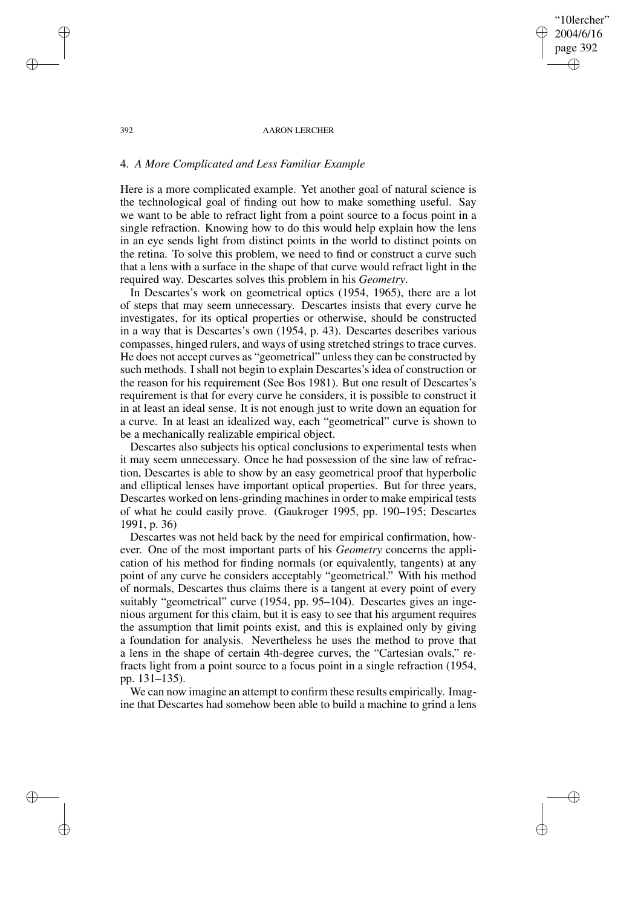392 AARON LERCHER

"10lercher" 2004/6/16 page 392

✐

✐

✐

✐

### 4. *A More Complicated and Less Familiar Example*

Here is a more complicated example. Yet another goal of natural science is the technological goal of finding out how to make something useful. Say we want to be able to refract light from a point source to a focus point in a single refraction. Knowing how to do this would help explain how the lens in an eye sends light from distinct points in the world to distinct points on the retina. To solve this problem, we need to find or construct a curve such that a lens with a surface in the shape of that curve would refract light in the required way. Descartes solves this problem in his *Geometry*.

In Descartes's work on geometrical optics (1954, 1965), there are a lot of steps that may seem unnecessary. Descartes insists that every curve he investigates, for its optical properties or otherwise, should be constructed in a way that is Descartes's own (1954, p. 43). Descartes describes various compasses, hinged rulers, and ways of using stretched strings to trace curves. He does not accept curves as "geometrical" unless they can be constructed by such methods. I shall not begin to explain Descartes's idea of construction or the reason for his requirement (See Bos 1981). But one result of Descartes's requirement is that for every curve he considers, it is possible to construct it in at least an ideal sense. It is not enough just to write down an equation for a curve. In at least an idealized way, each "geometrical" curve is shown to be a mechanically realizable empirical object.

Descartes also subjects his optical conclusions to experimental tests when it may seem unnecessary. Once he had possession of the sine law of refraction, Descartes is able to show by an easy geometrical proof that hyperbolic and elliptical lenses have important optical properties. But for three years, Descartes worked on lens-grinding machines in order to make empirical tests of what he could easily prove. (Gaukroger 1995, pp. 190–195; Descartes 1991, p. 36)

Descartes was not held back by the need for empirical confirmation, however. One of the most important parts of his *Geometry* concerns the application of his method for finding normals (or equivalently, tangents) at any point of any curve he considers acceptably "geometrical." With his method of normals, Descartes thus claims there is a tangent at every point of every suitably "geometrical" curve (1954, pp. 95–104). Descartes gives an ingenious argument for this claim, but it is easy to see that his argument requires the assumption that limit points exist, and this is explained only by giving a foundation for analysis. Nevertheless he uses the method to prove that a lens in the shape of certain 4th-degree curves, the "Cartesian ovals," refracts light from a point source to a focus point in a single refraction (1954, pp. 131–135).

We can now imagine an attempt to confirm these results empirically. Imagine that Descartes had somehow been able to build a machine to grind a lens

✐

✐

✐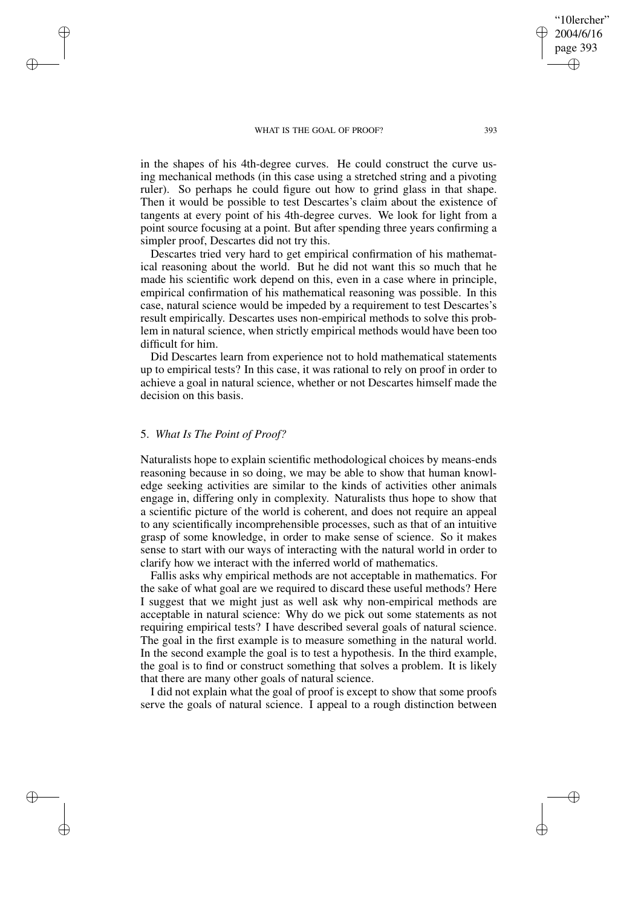#### WHAT IS THE GOAL OF PROOF? 393

in the shapes of his 4th-degree curves. He could construct the curve using mechanical methods (in this case using a stretched string and a pivoting ruler). So perhaps he could figure out how to grind glass in that shape. Then it would be possible to test Descartes's claim about the existence of tangents at every point of his 4th-degree curves. We look for light from a point source focusing at a point. But after spending three years confirming a simpler proof, Descartes did not try this.

Descartes tried very hard to get empirical confirmation of his mathematical reasoning about the world. But he did not want this so much that he made his scientific work depend on this, even in a case where in principle, empirical confirmation of his mathematical reasoning was possible. In this case, natural science would be impeded by a requirement to test Descartes's result empirically. Descartes uses non-empirical methods to solve this problem in natural science, when strictly empirical methods would have been too difficult for him.

Did Descartes learn from experience not to hold mathematical statements up to empirical tests? In this case, it was rational to rely on proof in order to achieve a goal in natural science, whether or not Descartes himself made the decision on this basis.

# 5. *What Is The Point of Proof?*

✐

✐

✐

✐

Naturalists hope to explain scientific methodological choices by means-ends reasoning because in so doing, we may be able to show that human knowledge seeking activities are similar to the kinds of activities other animals engage in, differing only in complexity. Naturalists thus hope to show that a scientific picture of the world is coherent, and does not require an appeal to any scientifically incomprehensible processes, such as that of an intuitive grasp of some knowledge, in order to make sense of science. So it makes sense to start with our ways of interacting with the natural world in order to clarify how we interact with the inferred world of mathematics.

Fallis asks why empirical methods are not acceptable in mathematics. For the sake of what goal are we required to discard these useful methods? Here I suggest that we might just as well ask why non-empirical methods are acceptable in natural science: Why do we pick out some statements as not requiring empirical tests? I have described several goals of natural science. The goal in the first example is to measure something in the natural world. In the second example the goal is to test a hypothesis. In the third example, the goal is to find or construct something that solves a problem. It is likely that there are many other goals of natural science.

I did not explain what the goal of proof is except to show that some proofs serve the goals of natural science. I appeal to a rough distinction between

"10lercher" 2004/6/16 page 393

✐

✐

✐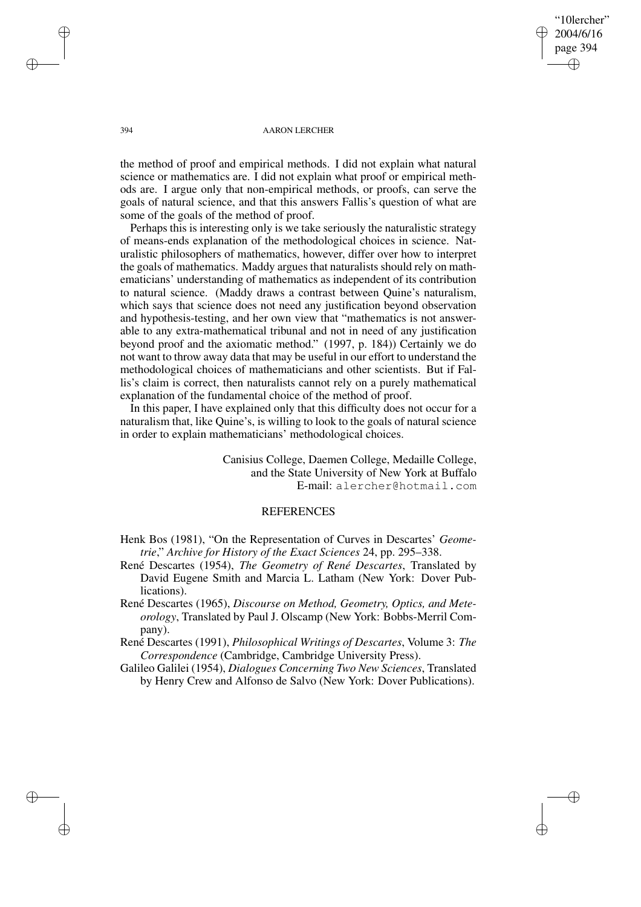"10lercher" 2004/6/16 page 394 ✐ ✐

✐

✐

#### 394 AARON LERCHER

the method of proof and empirical methods. I did not explain what natural science or mathematics are. I did not explain what proof or empirical methods are. I argue only that non-empirical methods, or proofs, can serve the goals of natural science, and that this answers Fallis's question of what are some of the goals of the method of proof.

Perhaps this is interesting only is we take seriously the naturalistic strategy of means-ends explanation of the methodological choices in science. Naturalistic philosophers of mathematics, however, differ over how to interpret the goals of mathematics. Maddy argues that naturalists should rely on mathematicians' understanding of mathematics as independent of its contribution to natural science. (Maddy draws a contrast between Quine's naturalism, which says that science does not need any justification beyond observation and hypothesis-testing, and her own view that "mathematics is not answerable to any extra-mathematical tribunal and not in need of any justification beyond proof and the axiomatic method." (1997, p. 184)) Certainly we do not want to throw away data that may be useful in our effort to understand the methodological choices of mathematicians and other scientists. But if Fallis's claim is correct, then naturalists cannot rely on a purely mathematical explanation of the fundamental choice of the method of proof.

In this paper, I have explained only that this difficulty does not occur for a naturalism that, like Quine's, is willing to look to the goals of natural science in order to explain mathematicians' methodological choices.

> Canisius College, Daemen College, Medaille College, and the State University of New York at Buffalo E-mail: alercher@hotmail.com

## **REFERENCES**

Henk Bos (1981), "On the Representation of Curves in Descartes' *Geometrie*," *Archive for History of the Exact Sciences* 24, pp. 295–338.

- René Descartes (1954), *The Geometry of René Descartes*, Translated by David Eugene Smith and Marcia L. Latham (New York: Dover Publications).
- René Descartes (1965), *Discourse on Method, Geometry, Optics, and Meteorology*, Translated by Paul J. Olscamp (New York: Bobbs-Merril Company).

René Descartes (1991), *Philosophical Writings of Descartes*, Volume 3: *The Correspondence* (Cambridge, Cambridge University Press).

Galileo Galilei (1954), *Dialogues Concerning Two New Sciences*, Translated by Henry Crew and Alfonso de Salvo (New York: Dover Publications).

✐

✐

✐